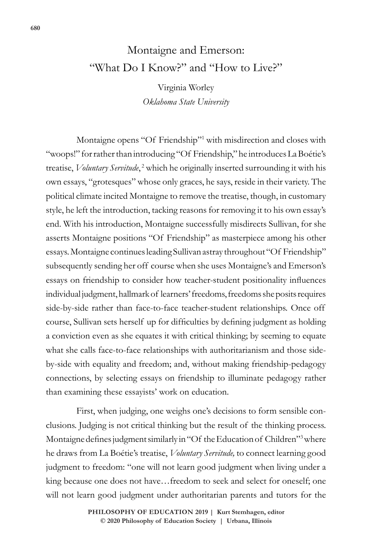## Montaigne and Emerson: "What Do I Know?" and "How to Live?"

Virginia Worley *Oklahoma State University*

Montaigne opens "Of Friendship"<sup>1</sup> with misdirection and closes with "woops!" for rather than introducing "Of Friendship," he introduces La Boétie's treatise, Voluntary Servitude,<sup>2</sup> which he originally inserted surrounding it with his own essays, "grotesques" whose only graces, he says, reside in their variety. The political climate incited Montaigne to remove the treatise, though, in customary style, he left the introduction, tacking reasons for removing it to his own essay's end. With his introduction, Montaigne successfully misdirects Sullivan, for she asserts Montaigne positions "Of Friendship" as masterpiece among his other essays. Montaigne continues leading Sullivan astray throughout "Of Friendship" subsequently sending her off course when she uses Montaigne's and Emerson's essays on friendship to consider how teacher-student positionality influences individual judgment, hallmark of learners' freedoms, freedoms she posits requires side-by-side rather than face-to-face teacher-student relationships. Once off course, Sullivan sets herself up for difficulties by defining judgment as holding a conviction even as she equates it with critical thinking; by seeming to equate what she calls face-to-face relationships with authoritarianism and those sideby-side with equality and freedom; and, without making friendship-pedagogy connections, by selecting essays on friendship to illuminate pedagogy rather than examining these essayists' work on education.

First, when judging, one weighs one's decisions to form sensible conclusions. Judging is not critical thinking but the result of the thinking process. Montaigne defines judgment similarly in "Of the Education of Children"<sup>3</sup> where he draws from La Boétie's treatise, *Voluntary Servitude,* to connect learning good judgment to freedom: "one will not learn good judgment when living under a king because one does not have…freedom to seek and select for oneself; one will not learn good judgment under authoritarian parents and tutors for the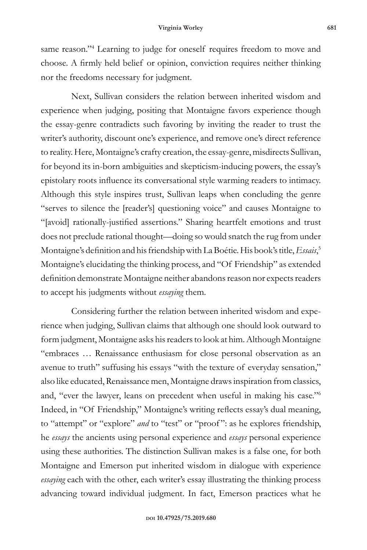same reason."<sup>4</sup> Learning to judge for oneself requires freedom to move and choose. A firmly held belief or opinion, conviction requires neither thinking nor the freedoms necessary for judgment.

Next, Sullivan considers the relation between inherited wisdom and experience when judging, positing that Montaigne favors experience though the essay-genre contradicts such favoring by inviting the reader to trust the writer's authority, discount one's experience, and remove one's direct reference to reality. Here, Montaigne's crafty creation, the essay-genre, misdirects Sullivan, for beyond its in-born ambiguities and skepticism-inducing powers, the essay's epistolary roots influence its conversational style warming readers to intimacy. Although this style inspires trust, Sullivan leaps when concluding the genre "serves to silence the [reader's] questioning voice" and causes Montaigne to "[avoid] rationally-justified assertions." Sharing heartfelt emotions and trust does not preclude rational thought—doing so would snatch the rug from under Montaigne's definition and his friendship with La Boétie. His book's title, *Essais*, 5 Montaigne's elucidating the thinking process, and "Of Friendship" as extended definition demonstrate Montaigne neither abandons reason nor expects readers to accept his judgments without *essaying* them.

Considering further the relation between inherited wisdom and experience when judging, Sullivan claims that although one should look outward to form judgment, Montaigne asks his readers to look at him. Although Montaigne "embraces … Renaissance enthusiasm for close personal observation as an avenue to truth" suffusing his essays "with the texture of everyday sensation," also like educated, Renaissance men, Montaigne draws inspiration from classics, and, "ever the lawyer, leans on precedent when useful in making his case."6 Indeed, in "Of Friendship," Montaigne's writing reflects essay's dual meaning, to "attempt" or "explore" *and* to "test" or "proof ": as he explores friendship, he *essays* the ancients using personal experience and *essays* personal experience using these authorities. The distinction Sullivan makes is a false one, for both Montaigne and Emerson put inherited wisdom in dialogue with experience *essaying* each with the other, each writer's essay illustrating the thinking process advancing toward individual judgment. In fact, Emerson practices what he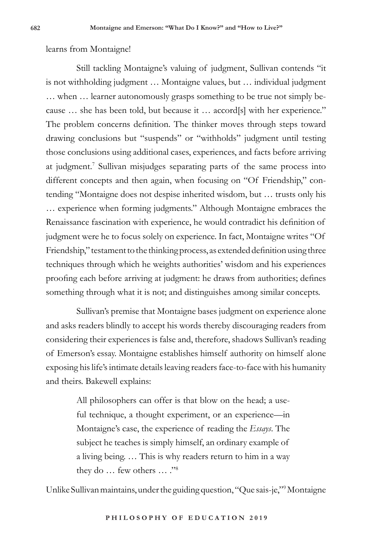## learns from Montaigne!

Still tackling Montaigne's valuing of judgment, Sullivan contends "it is not withholding judgment … Montaigne values, but … individual judgment … when … learner autonomously grasps something to be true not simply because … she has been told, but because it … accord[s] with her experience." The problem concerns definition. The thinker moves through steps toward drawing conclusions but "suspends" or "withholds" judgment until testing those conclusions using additional cases, experiences, and facts before arriving at judgment.<sup>7</sup> Sullivan misjudges separating parts of the same process into different concepts and then again, when focusing on "Of Friendship," contending "Montaigne does not despise inherited wisdom, but … trusts only his … experience when forming judgments." Although Montaigne embraces the Renaissance fascination with experience, he would contradict his definition of judgment were he to focus solely on experience. In fact, Montaigne writes "Of Friendship," testament to the thinking process, as extended definition using three techniques through which he weights authorities' wisdom and his experiences proofing each before arriving at judgment: he draws from authorities; defines something through what it is not; and distinguishes among similar concepts.

Sullivan's premise that Montaigne bases judgment on experience alone and asks readers blindly to accept his words thereby discouraging readers from considering their experiences is false and, therefore, shadows Sullivan's reading of Emerson's essay. Montaigne establishes himself authority on himself alone exposing his life's intimate details leaving readers face-to-face with his humanity and theirs. Bakewell explains:

> All philosophers can offer is that blow on the head; a useful technique, a thought experiment, or an experience—in Montaigne's case, the experience of reading the *Essays*. The subject he teaches is simply himself, an ordinary example of a living being. … This is why readers return to him in a way they do  $\ldots$  few others  $\ldots$ ."<sup>8</sup>

Unlike Sullivan maintains, under the guiding question, "Que sais-je,"9 Montaigne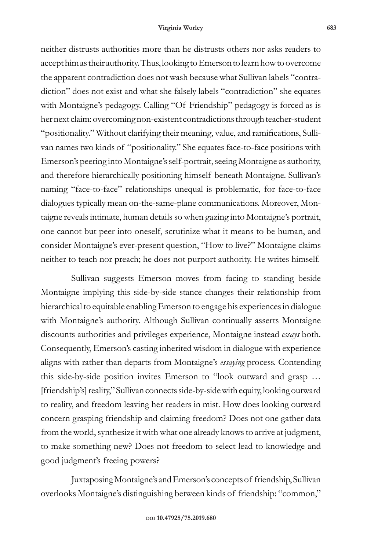neither distrusts authorities more than he distrusts others nor asks readers to accept him as their authority. Thus, looking to Emerson to learn how to overcome the apparent contradiction does not wash because what Sullivan labels "contradiction" does not exist and what she falsely labels "contradiction" she equates with Montaigne's pedagogy. Calling "Of Friendship" pedagogy is forced as is her next claim: overcoming non-existent contradictions through teacher-student "positionality." Without clarifying their meaning, value, and ramifications, Sullivan names two kinds of "positionality." She equates face-to-face positions with Emerson's peering into Montaigne's self-portrait, seeing Montaigne as authority, and therefore hierarchically positioning himself beneath Montaigne. Sullivan's naming "face-to-face" relationships unequal is problematic, for face-to-face dialogues typically mean on-the-same-plane communications. Moreover, Montaigne reveals intimate, human details so when gazing into Montaigne's portrait, one cannot but peer into oneself, scrutinize what it means to be human, and consider Montaigne's ever-present question, "How to live?" Montaigne claims neither to teach nor preach; he does not purport authority. He writes himself.

Sullivan suggests Emerson moves from facing to standing beside Montaigne implying this side-by-side stance changes their relationship from hierarchical to equitable enabling Emerson to engage his experiences in dialogue with Montaigne's authority. Although Sullivan continually asserts Montaigne discounts authorities and privileges experience, Montaigne instead *essays* both. Consequently, Emerson's casting inherited wisdom in dialogue with experience aligns with rather than departs from Montaigne's *essaying* process. Contending this side-by-side position invites Emerson to "look outward and grasp … [friendship's] reality," Sullivan connects side-by-side with equity, looking outward to reality, and freedom leaving her readers in mist. How does looking outward concern grasping friendship and claiming freedom? Does not one gather data from the world, synthesize it with what one already knows to arrive at judgment, to make something new? Does not freedom to select lead to knowledge and good judgment's freeing powers?

Juxtaposing Montaigne's and Emerson's concepts of friendship, Sullivan overlooks Montaigne's distinguishing between kinds of friendship: "common,"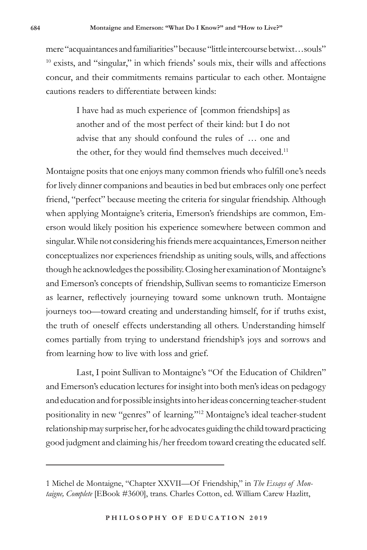mere "acquaintances and familiarities" because "little intercourse betwixt…souls" 10 exists, and "singular," in which friends' souls mix, their wills and affections concur, and their commitments remains particular to each other. Montaigne cautions readers to differentiate between kinds:

> I have had as much experience of [common friendships] as another and of the most perfect of their kind: but I do not advise that any should confound the rules of … one and the other, for they would find themselves much deceived.<sup>11</sup>

Montaigne posits that one enjoys many common friends who fulfill one's needs for lively dinner companions and beauties in bed but embraces only one perfect friend, "perfect" because meeting the criteria for singular friendship. Although when applying Montaigne's criteria, Emerson's friendships are common, Emerson would likely position his experience somewhere between common and singular. While not considering his friends mere acquaintances, Emerson neither conceptualizes nor experiences friendship as uniting souls, wills, and affections though he acknowledges the possibility. Closing her examination of Montaigne's and Emerson's concepts of friendship, Sullivan seems to romanticize Emerson as learner, reflectively journeying toward some unknown truth. Montaigne journeys too—toward creating and understanding himself, for if truths exist, the truth of oneself effects understanding all others. Understanding himself comes partially from trying to understand friendship's joys and sorrows and from learning how to live with loss and grief.

Last, I point Sullivan to Montaigne's "Of the Education of Children" and Emerson's education lectures for insight into both men's ideas on pedagogy and education and for possible insights into her ideas concerning teacher-student positionality in new "genres" of learning."12 Montaigne's ideal teacher-student relationship may surprise her, for he advocates guiding the child toward practicing good judgment and claiming his/her freedom toward creating the educated self.

<sup>1</sup> Michel de Montaigne, "Chapter XXVII—Of Friendship," in *The Essays of Montaigne, Complete* [EBook #3600], trans. Charles Cotton, ed. William Carew Hazlitt,